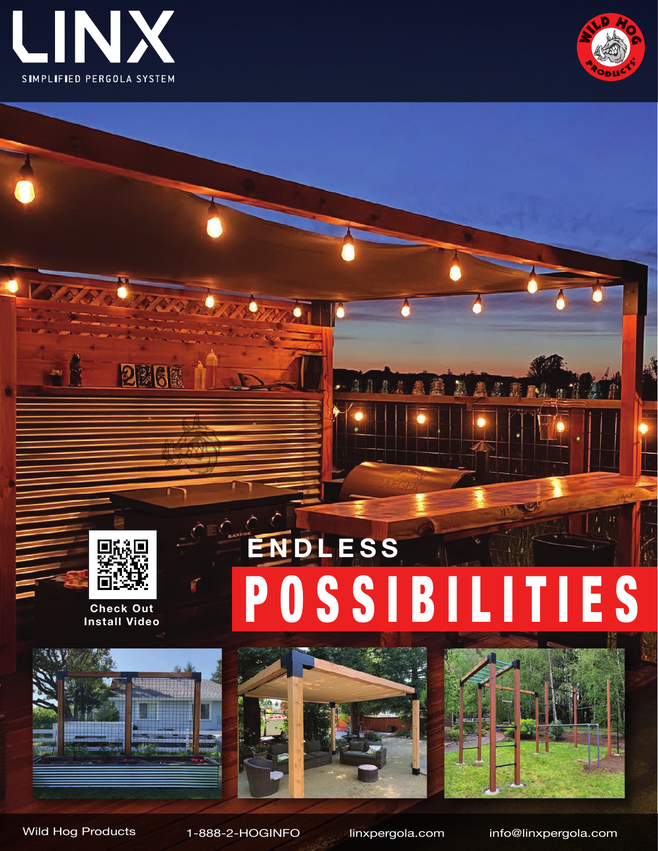







**Check Out Install Video**

国議

IП

2262







Wild Hog Products 1-888-2-HOGINFO linxpergola.com info@linxpergola.com